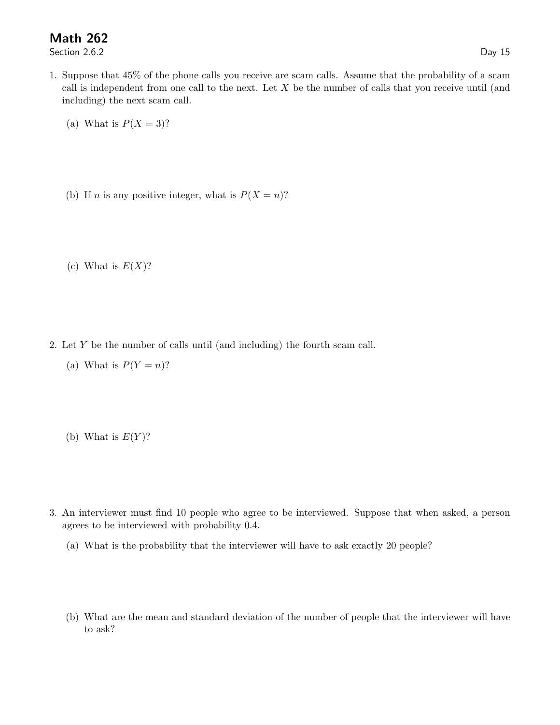## Math 262

Section 2.6.2 Day 15

- 1. Suppose that 45% of the phone calls you receive are scam calls. Assume that the probability of a scam call is independent from one call to the next. Let  $X$  be the number of calls that you receive until (and including) the next scam call.
	- (a) What is  $P(X = 3)$ ?
	- (b) If *n* is any positive integer, what is  $P(X = n)$ ?

(c) What is  $E(X)$ ?

- 2. Let Y be the number of calls until (and including) the fourth scam call.
	- (a) What is  $P(Y = n)$ ?
	- (b) What is  $E(Y)$ ?
- 3. An interviewer must find 10 people who agree to be interviewed. Suppose that when asked, a person agrees to be interviewed with probability 0.4.
	- (a) What is the probability that the interviewer will have to ask exactly 20 people?
	- (b) What are the mean and standard deviation of the number of people that the interviewer will have to ask?